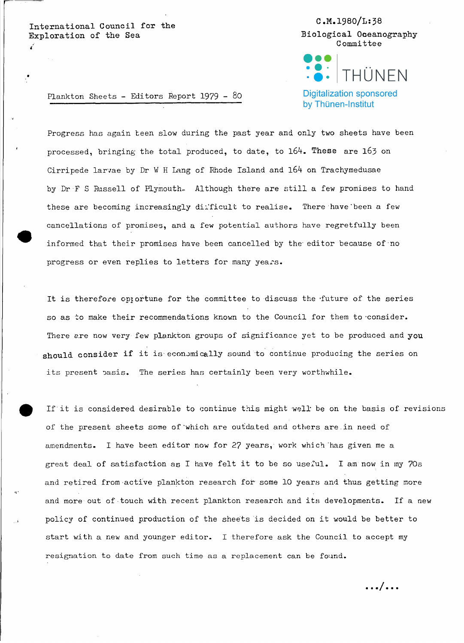International Council for the Exploration of the Sea

C.M.1980/L:38 Biological Oceanography Committee



**Digitalization sponsored** by Thünen-Institut

Plankton Sheets - Editors Report 1979 - 80

Progress has again teen slow during the past year and only two sheets have been processed, bringing the total produced, to date, to 164. These are 163 on Cirripede larvae by Dr W H Lang of Rhode Island and 164 on Trachymedusae by Dr F S Russell of Plymouth. Although there are still a few promises to hand these are becoming increasingly dilficult to realise. There have been a few cancellations of promises, and a few potential authors have regretfully been informed that their promises have been cancelled by the- editor because of-no progress or even replies to letters for many years.

It is therefore opportune for the committee to discuss the future of the series so as to make their recommendations known to the Council for them to consider. There are now very few plankton groups of significance yet to be produced and you should consider if it is economically sound to continue producing the series on its present pasis. The series has certainly been very worthwhile.

If it is considered desirable to continue this might well be on the basis of revisions of the present sheets some of'which are outdated and others are\_in need of amendments. I have been editor now for 27 years, work which has given me a great deal of satisfaction as I have felt it to be so useful. I am now in my 70s and retired from active plankton research for some 10 years and thus getting more and more out of touch with recent plankton research and its developments. If a new policy of continued production of the sheetsis decided on it would be better to start with a new and younger editor. I therefore ask the Council to accept my resignation to date from such time as a replacement can be found.

.**../ ...**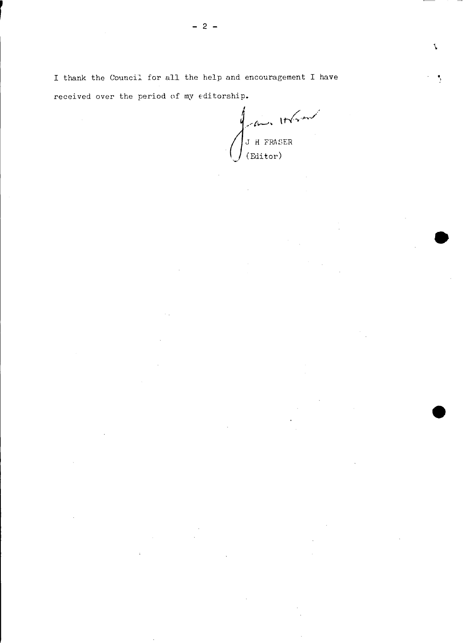$\int_{\text{Emitor}}^{\text{L}} \text{H FRASER}$